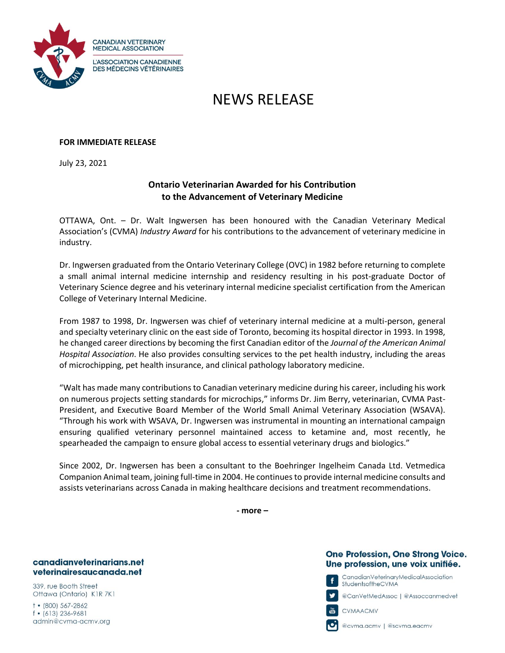

# NEWS RELEASE

## **FOR IMMEDIATE RELEASE**

July 23, 2021

# **Ontario Veterinarian Awarded for his Contribution to the Advancement of Veterinary Medicine**

OTTAWA, Ont. – Dr. Walt Ingwersen has been honoured with the Canadian Veterinary Medical Association's (CVMA) *Industry Award* for his contributions to the advancement of veterinary medicine in industry.

Dr. Ingwersen graduated from the Ontario Veterinary College (OVC) in 1982 before returning to complete a small animal internal medicine internship and residency resulting in his post-graduate Doctor of Veterinary Science degree and his veterinary internal medicine specialist certification from the American College of Veterinary Internal Medicine.

From 1987 to 1998, Dr. Ingwersen was chief of veterinary internal medicine at a multi-person, general and specialty veterinary clinic on the east side of Toronto, becoming its hospital director in 1993. In 1998, he changed career directions by becoming the first Canadian editor of the *Journal of the American Animal Hospital Association*. He also provides consulting services to the pet health industry, including the areas of microchipping, pet health insurance, and clinical pathology laboratory medicine.

"Walt has made many contributions to Canadian veterinary medicine during his career, including his work on numerous projects setting standards for microchips," informs Dr. Jim Berry, veterinarian, CVMA Past-President, and Executive Board Member of the World Small Animal Veterinary Association (WSAVA). "Through his work with WSAVA, Dr. Ingwersen was instrumental in mounting an international campaign ensuring qualified veterinary personnel maintained access to ketamine and, most recently, he spearheaded the campaign to ensure global access to essential veterinary drugs and biologics."

Since 2002, Dr. Ingwersen has been a consultant to the Boehringer Ingelheim Canada Ltd. Vetmedica Companion Animal team, joining full-time in 2004. He continues to provide internal medicine consults and assists veterinarians across Canada in making healthcare decisions and treatment recommendations.

**- more –**

#### canadianveterinarians.net veterinairesaucanada.net

339, rue Booth Street Ottawa (Ontario) K1R 7K1

 $\dagger$  • (800) 567-2862  $f$  • (613) 236-9681 admin@cvma-acmv.org

### One Profession, One Strong Voice. Une profession, une voix unifiée.

CanadianVeterinaryMedicalAssociation StudentsoftheCVMA

@CanVełMedAssoc | @Assoccanmedveł



@cvma.acmv | @scvma.eacmv